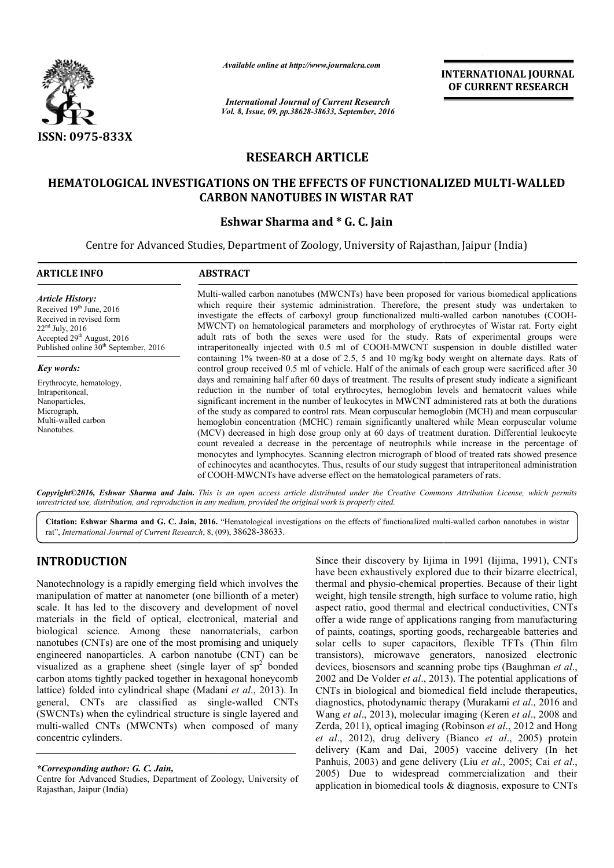

*Available online at http://www.journalcra.com*

*Vol. 8, Issue, 09, pp.38628-38633, September, 2016 International Journal of Current Research*

INTERNATIONAL JOURNAL OF CURRENT RESEARCH

# RESEARCH ARTICLE

## HEMATOLOGICAL INVESTIGATIONS ON THE EFFECTS OF FUNCTIONALIZED MULTI FUNCTIONALIZED MULTI-WALLED CARBON NANOTUBES IN WISTAR RAT

# Eshwar Sharma and \* G. C. Jain

Centre for Advanced Studies, Department of Zoology, University of Rajasthan, Jaipur (India)

| <b>ARTICLE INFO</b>                                                                                                                                                                                   | <b>ABSTRACT</b>                                                                                                                                                                                                                                                                                                                                                                                                                                                                                                                                                                                                                                                                                                                                                                                                                                                                                                                                                                                           |  |  |  |  |  |  |
|-------------------------------------------------------------------------------------------------------------------------------------------------------------------------------------------------------|-----------------------------------------------------------------------------------------------------------------------------------------------------------------------------------------------------------------------------------------------------------------------------------------------------------------------------------------------------------------------------------------------------------------------------------------------------------------------------------------------------------------------------------------------------------------------------------------------------------------------------------------------------------------------------------------------------------------------------------------------------------------------------------------------------------------------------------------------------------------------------------------------------------------------------------------------------------------------------------------------------------|--|--|--|--|--|--|
| <b>Article History:</b><br>Received $19th$ June, 2016<br>Received in revised form<br>$22nd$ July, 2016<br>Accepted 29 <sup>th</sup> August, 2016<br>Published online 30 <sup>th</sup> September, 2016 | Multi-walled carbon nanotubes (MWCNTs) have been proposed for various biomedical applications<br>which require their systemic administration. Therefore, the present study was undertaken to<br>investigate the effects of carboxyl group functionalized multi-walled carbon nanotubes (COOH-<br>MWCNT) on hematological parameters and morphology of erythrocytes of Wistar rat. Forty eight<br>adult rats of both the sexes were used for the study. Rats of experimental groups were<br>intraperitoneally injected with 0.5 ml of COOH-MWCNT suspension in double distilled water<br>containing 1% tween-80 at a dose of 2.5, 5 and 10 mg/kg body weight on alternate days. Rats of<br>control group received 0.5 ml of vehicle. Half of the animals of each group were sacrificed after 30<br>days and remaining half after 60 days of treatment. The results of present study indicate a significant<br>reduction in the number of total erythrocytes, hemoglobin levels and hematocrit values while |  |  |  |  |  |  |
| Key words:                                                                                                                                                                                            |                                                                                                                                                                                                                                                                                                                                                                                                                                                                                                                                                                                                                                                                                                                                                                                                                                                                                                                                                                                                           |  |  |  |  |  |  |
| Erythrocyte, hematology,<br>Intraperitoneal,<br>Nanoparticles,<br>Micrograph,<br>Multi-walled carbon<br>Nanotubes.                                                                                    | significant increment in the number of leukocytes in MWCNT administered rats at both the durations<br>of the study as compared to control rats. Mean corpuscular hemoglobin (MCH) and mean corpuscular<br>hemoglobin concentration (MCHC) remain significantly unaltered while Mean corpuscular volume<br>(MCV) decreased in high dose group only at 60 days of treatment duration. Differential leukocyte<br>count revealed a decrease in the percentage of neutrophils while increase in the percentage of<br>monocytes and lymphocytes. Scanning electron micrograph of blood of treated rats showed presence<br>of echinocytes and acanthocytes. Thus, results of our study suggest that intraperitoneal administration<br>of COOH-MWCNTs have adverse effect on the hematological parameters of rats.                                                                                                                                                                                                |  |  |  |  |  |  |

*Copyright©2016, Eshwar Sharma and Jain. This is an open access article distributed under the Creative Commons Att is an distributed Creative Attribution License, which permits unrestricted use, distribution, and reproduction in any medium, provided the original work is properly cited.*

Citation: Eshwar Sharma and G. C. Jain, 2016. "Hematological investigations on the effects of functionalized multi-walled carbon nanotubes in wistar rat", *International Journal of Current Research*, 8, (09), 38628-38633.

# INTRODUCTION

Nanotechnology is a rapidly emerging field which involves the manipulation of matter at nanometer (one billionth of a meter) scale. It has led to the discovery and development of novel materials in the field of optical, electronical, material and biological science. Among these nanomaterials, carbon nanotubes (CNTs) are one of the most promising and uniquely engineered nanoparticles. A carbon nanotube (CNT) can be visualized as a graphene sheet (single layer of  $sp<sup>2</sup>$  bonded carbon atoms tightly packed together in hexagonal honeycomb lattice) folded into cylindrical shape (Madani et al., 2013). In general, CNTs are classified as single-walled CNTs (SWCNTs) when the cylindrical structure is single layered and multi-walled CNTs (MWCNTs) when composed of many concentric cylinders.

*\*Corresponding author: G. C. Jain,* 

Centre for Advanced Studies, Department of Zoology, University of Rajasthan, Jaipur (India)

**EXECUTION**<br>
Since their discovery by Iijima in 1991 (<br>
bechnology is a rapidly emerging field which involves the<br>
thermal and physio-chemical properties.<br>
Lulation of matter at nanometer (one billionth of a meter) weight have been exhaustively explored due to their bizarre electrical, thermal and physio-chemical properties. Because of their light weight, high tensile strength, high surface to volume ratio, high aspect ratio, good thermal and electrical conductivities, CNTs offer a wide range of applications ranging from manufacturing of paints, coatings, sporting goods, rechargeable batteries and solar cells to super capacitors, flexible TFTs (Thin film transistors), microwave generators, nanosized electronic hermal and physio-chemical properties. Because of their light weight, high tensile strength, high surface to volume ratio, high aspect ratio, good thermal and electrical conductivities, CNTs offer a wide range of applicati 2002 and De Volder *et al*., 2013 2013). The potential applications of CNTs in biological and biomedical CNTs field include therapeutics, diagnostics, photodynamic therapy ( (Murakami *et al*., 2016 and Wang et al., 2013), molecular imaging (Keren et al., 2008 and Zerda, 2011), optical imaging (Robinson et al., 2012 and Hong *et al.*, 2012), drug delivery (Bianco *et al.*, 2005) protein delivery (Kam and Dai, 2005 2005) vaccine delivery (In het Panhuis, 2003) and gene delivery (Liu *et al.*, 2005; Cai *et al.*, 2005) Due to widespread commercialization and their application in biomedical tools & diagnosis, exposure to CNTs Since their discovery by Iijima in 1991 (Iijima, 1991), CNTs ) their biomedical to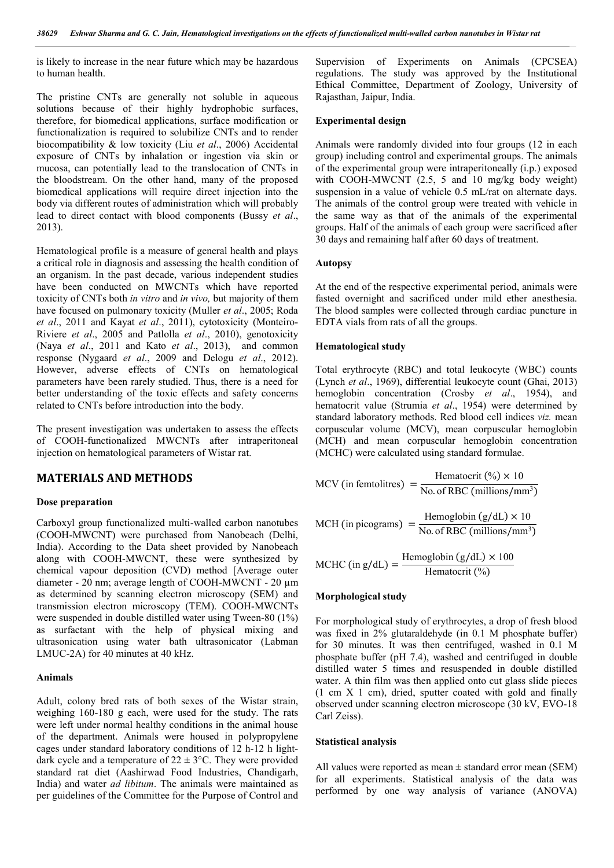is likely to increase in the near future which may be hazardous to human health.

The pristine CNTs are generally not soluble in aqueous solutions because of their highly hydrophobic surfaces, therefore, for biomedical applications, surface modification or functionalization is required to solubilize CNTs and to render biocompatibility & low toxicity (Liu *et al*., 2006) Accidental exposure of CNTs by inhalation or ingestion via skin or mucosa, can potentially lead to the translocation of CNTs in the bloodstream. On the other hand, many of the proposed biomedical applications will require direct injection into the body via different routes of administration which will probably lead to direct contact with blood components (Bussy *et al*., 2013).

Hematological profile is a measure of general health and plays a critical role in diagnosis and assessing the health condition of an organism. In the past decade, various independent studies have been conducted on MWCNTs which have reported toxicity of CNTs both *in vitro* and *in vivo,* but majority of them have focused on pulmonary toxicity (Muller *et al*., 2005; Roda *et al*., 2011 and Kayat *et al*., 2011), cytotoxicity (Monteiro-Riviere *et al*., 2005 and Patlolla *et al*., 2010), genotoxicity (Naya *et al*., 2011 and Kato *et al*., 2013), and common response (Nygaard *et al*., 2009 and Delogu *et al*., 2012). However, adverse effects of CNTs on hematological parameters have been rarely studied. Thus, there is a need for better understanding of the toxic effects and safety concerns related to CNTs before introduction into the body.

The present investigation was undertaken to assess the effects of COOH-functionalized MWCNTs after intraperitoneal injection on hematological parameters of Wistar rat.

### MATERIALS AND METHODS

#### Dose preparation

Carboxyl group functionalized multi-walled carbon nanotubes (COOH-MWCNT) were purchased from Nanobeach (Delhi, India). According to the Data sheet provided by Nanobeach along with COOH-MWCNT, these were synthesized by chemical vapour deposition (CVD) method [Average outer diameter - 20 nm; average length of COOH-MWCNT - 20 µm as determined by scanning electron microscopy (SEM) and transmission electron microscopy (TEM). COOH-MWCNTs were suspended in double distilled water using Tween-80 (1%) as surfactant with the help of physical mixing and ultrasonication using water bath ultrasonicator (Labman LMUC-2A) for 40 minutes at 40 kHz.

#### Animals

Adult, colony bred rats of both sexes of the Wistar strain, weighing 160-180 g each, were used for the study. The rats were left under normal healthy conditions in the animal house of the department. Animals were housed in polypropylene cages under standard laboratory conditions of 12 h-12 h lightdark cycle and a temperature of  $22 \pm 3$ °C. They were provided standard rat diet (Aashirwad Food Industries, Chandigarh, India) and water *ad libitum*. The animals were maintained as per guidelines of the Committee for the Purpose of Control and Supervision of Experiments on Animals (CPCSEA) regulations. The study was approved by the Institutional Ethical Committee, Department of Zoology, University of Rajasthan, Jaipur, India.

#### Experimental design

Animals were randomly divided into four groups (12 in each group) including control and experimental groups. The animals of the experimental group were intraperitoneally (i.p.) exposed with COOH-MWCNT (2.5, 5 and 10 mg/kg body weight) suspension in a value of vehicle 0.5 mL/rat on alternate days. The animals of the control group were treated with vehicle in the same way as that of the animals of the experimental groups. Half of the animals of each group were sacrificed after 30 days and remaining half after 60 days of treatment.

#### Autopsy

At the end of the respective experimental period, animals were fasted overnight and sacrificed under mild ether anesthesia. The blood samples were collected through cardiac puncture in EDTA vials from rats of all the groups.

#### Hematological study

Total erythrocyte (RBC) and total leukocyte (WBC) counts (Lynch *et al*., 1969), differential leukocyte count (Ghai, 2013) hemoglobin concentration (Crosby *et al*., 1954), and hematocrit value (Strumia *et al*., 1954) were determined by standard laboratory methods. Red blood cell indices *viz.* mean corpuscular volume (MCV), mean corpuscular hemoglobin (MCH) and mean corpuscular hemoglobin concentration (MCHC) were calculated using standard formulae.

MCV (in femtolitres) = 
$$
\frac{\text{Hematocrit} (\% ) \times 10}{\text{No. of RBC (millions/mm}^3)}
$$
MCH (in picograms) = 
$$
\frac{\text{Hemoglobin} (g/dL) \times 10}{\text{No. of RBC (millions/mm}^3)}
$$

MCHC (in g/dL) = 
$$
\frac{\text{Hemoglobin (g/dL)} \times 100}{\text{Hematocrit (\%)}}
$$

### Morphological study

For morphological study of erythrocytes, a drop of fresh blood was fixed in 2% glutaraldehyde (in 0.1 M phosphate buffer) for 30 minutes. It was then centrifuged, washed in 0.1 M phosphate buffer (pH 7.4), washed and centrifuged in double distilled water 5 times and resuspended in double distilled water. A thin film was then applied onto cut glass slide pieces (1 cm X 1 cm), dried, sputter coated with gold and finally observed under scanning electron microscope (30 kV, EVO-18 Carl Zeiss).

#### Statistical analysis

All values were reported as mean  $\pm$  standard error mean (SEM) for all experiments. Statistical analysis of the data was performed by one way analysis of variance (ANOVA)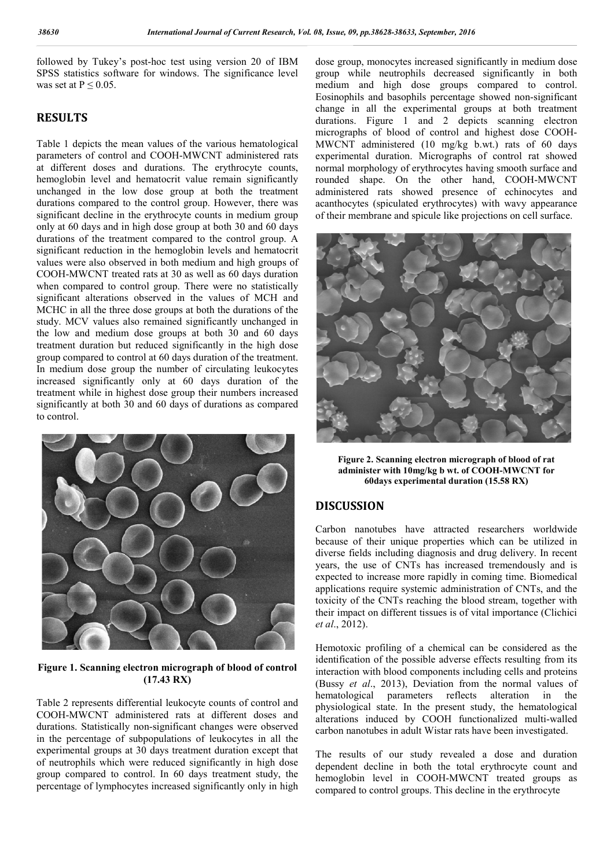followed by Tukey's post-hoc test using version 20 of IBM SPSS statistics software for windows. The significance level was set at  $P \le 0.05$ .

## RESULTS

Table 1 depicts the mean values of the various hematological parameters of control and COOH-MWCNT administered rats at different doses and durations. The erythrocyte counts, hemoglobin level and hematocrit value remain significantly unchanged in the low dose group at both the treatment durations compared to the control group. However, there was significant decline in the erythrocyte counts in medium group only at 60 days and in high dose group at both 30 and 60 days durations of the treatment compared to the control group. A significant reduction in the hemoglobin levels and hematocrit values were also observed in both medium and high groups of COOH-MWCNT treated rats at 30 as well as 60 days duration when compared to control group. There were no statistically significant alterations observed in the values of MCH and MCHC in all the three dose groups at both the durations of the study. MCV values also remained significantly unchanged in the low and medium dose groups at both 30 and 60 days treatment duration but reduced significantly in the high dose group compared to control at 60 days duration of the treatment. In medium dose group the number of circulating leukocytes increased significantly only at 60 days duration of the treatment while in highest dose group their numbers increased significantly at both 30 and 60 days of durations as compared to control.



Figure 1. Scanning electron micrograph of blood of control (17.43 RX)

Table 2 represents differential leukocyte counts of control and COOH-MWCNT administered rats at different doses and durations. Statistically non-significant changes were observed in the percentage of subpopulations of leukocytes in all the experimental groups at 30 days treatment duration except that of neutrophils which were reduced significantly in high dose group compared to control. In 60 days treatment study, the percentage of lymphocytes increased significantly only in high dose group, monocytes increased significantly in medium dose group while neutrophils decreased significantly in both medium and high dose groups compared to control. Eosinophils and basophils percentage showed non-significant change in all the experimental groups at both treatment durations. Figure 1 and 2 depicts scanning electron micrographs of blood of control and highest dose COOH-MWCNT administered (10 mg/kg b.wt.) rats of 60 days experimental duration. Micrographs of control rat showed normal morphology of erythrocytes having smooth surface and rounded shape. On the other hand, COOH-MWCNT administered rats showed presence of echinocytes and acanthocytes (spiculated erythrocytes) with wavy appearance of their membrane and spicule like projections on cell surface.



Figure 2. Scanning electron micrograph of blood of rat administer with 10mg/kg b wt. of COOH-MWCNT for 60days experimental duration (15.58 RX)

## DISCUSSION

Carbon nanotubes have attracted researchers worldwide because of their unique properties which can be utilized in diverse fields including diagnosis and drug delivery. In recent years, the use of CNTs has increased tremendously and is expected to increase more rapidly in coming time. Biomedical applications require systemic administration of CNTs, and the toxicity of the CNTs reaching the blood stream, together with their impact on different tissues is of vital importance (Clichici *et al*., 2012).

Hemotoxic profiling of a chemical can be considered as the identification of the possible adverse effects resulting from its interaction with blood components including cells and proteins (Bussy *et al*., 2013), Deviation from the normal values of hematological parameters reflects alteration in the physiological state. In the present study, the hematological alterations induced by COOH functionalized multi-walled carbon nanotubes in adult Wistar rats have been investigated.

The results of our study revealed a dose and duration dependent decline in both the total erythrocyte count and hemoglobin level in COOH-MWCNT treated groups as compared to control groups. This decline in the erythrocyte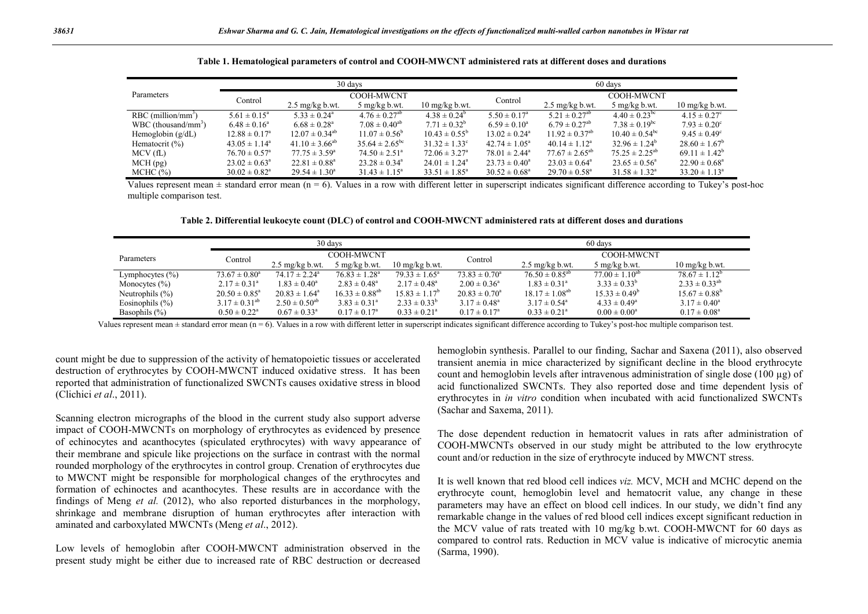| Parameters                        | 30 days                       |                          |                           |                               | 60 days                  |                               |                               |                          |
|-----------------------------------|-------------------------------|--------------------------|---------------------------|-------------------------------|--------------------------|-------------------------------|-------------------------------|--------------------------|
|                                   | Control                       | COOH-MWCNT               |                           |                               |                          | <b>COOH-MWCNT</b>             |                               |                          |
|                                   |                               | $2.5$ mg/kg b.wt.        | $5$ mg/kg b.wt.           | $10 \text{ mg/kg}$ b.wt.      | Control                  | $2.5 \text{ mg/kg}$ b.wt.     | 5 mg/kg b.wt.                 | $10 \text{ mg/kg}$ b.wt. |
| $RBC$ (million/mm <sup>3</sup> )  | $5.61 \pm 0.15^{\circ}$       | $5.33 \pm 0.24^{\circ}$  | $4.76 \pm 0.27^{ab}$      | $4.38 \pm 0.24^b$             | $5.50 \pm 0.17^{\circ}$  | 5.21 $\pm$ 0.27 <sup>ab</sup> | $4.40 \pm 0.23$ <sup>bc</sup> | $4.15 \pm 0.27^c$        |
| $WBC$ (thousand/mm <sup>3</sup> ) | $6.48 \pm 0.16^a$             | $6.68 \pm 0.28^a$        | $7.08 \pm 0.40^{ab}$      | $7.71 \pm 0.32^b$             | $6.59 \pm 0.10^a$        | $6.79 \pm 0.27$ <sup>ab</sup> | $7.38 \pm 0.19$ <sup>bc</sup> | $7.93 \pm 0.20^{\circ}$  |
| Hemoglobin $(g/dL)$               | $12.88 \pm 0.17^{\circ}$      | $12.07 \pm 0.34^{ab}$    | $11.07 \pm 0.56^{\circ}$  | $10.43 \pm 0.55^{\circ}$      | $13.02 \pm 0.24^{\circ}$ | $11.92 \pm 0.37^{ab}$         | $10.40 \pm 0.54^{\rm bc}$     | $9.45 \pm 0.49^{\circ}$  |
| Hematocrit (%)                    | $43.05 \pm 1.14^{\circ}$      | $41.10 \pm 3.66^{ab}$    | $35.64 \pm 2.65^{\rm bc}$ | $31.32 \pm 1.33$ <sup>c</sup> | $42.74 \pm 1.05^{\circ}$ | $40.14 \pm 1.12^a$            | $32.96 \pm 1.24^{\circ}$      | $28.60 \pm 1.67^b$       |
| MCV(fL)                           | $76.70 \pm 0.57$ <sup>a</sup> | $77.75 \pm 3.59^{\circ}$ | $74.50 \pm 2.51^{\circ}$  | $72.06 \pm 3.27^{\circ}$      | $78.01 \pm 2.44^{\circ}$ | $77.67 \pm 2.65^{ab}$         | $75.25 \pm 2.25^{ab}$         | $69.11 \pm 1.42^b$       |
| $MCH$ (pg)                        | $23.02 \pm 0.63^{\circ}$      | $22.81 \pm 0.88^{\circ}$ | $23.28 \pm 0.34^{\circ}$  | $24.01 \pm 1.24^{\circ}$      | $23.73 \pm 0.40^{\circ}$ | $23.03 \pm 0.64^{\circ}$      | $23.65 \pm 0.56^{\circ}$      | $22.90 \pm 0.68^{\circ}$ |
| MCHC (%)                          | $30.02 \pm 0.82^{\circ}$      | $29.54 \pm 1.30^a$       | $31.43 \pm 1.15^a$        | $33.51 \pm 1.85^{\circ}$      | $30.52 \pm 0.68^{\circ}$ | $29.70 \pm 0.58^{\circ}$      | $31.58 \pm 1.32^{\circ}$      | $33.20 \pm 1.13^a$       |

Table 1. Hematological parameters of control and COOH-MWCNT administered rats at different doses and durations

Values represent mean  $\pm$  standard error mean (n = 6). Values in a row with different letter in superscript indicates significant difference according to Tukey's post-hoc multiple comparison test.

| Table 2. Differential leukocyte count (DLC) of control and COOH-MWCNT administered rats at different doses and durations |  |
|--------------------------------------------------------------------------------------------------------------------------|--|
|--------------------------------------------------------------------------------------------------------------------------|--|

|                     | 30 days                    |                           |                            |                          | 60 days                  |                              |                          |                          |
|---------------------|----------------------------|---------------------------|----------------------------|--------------------------|--------------------------|------------------------------|--------------------------|--------------------------|
| Parameters          | Control                    | COOH-MWCNT                |                            |                          |                          | COOH-MWCNT                   |                          |                          |
|                     |                            | $2.5 \text{ mg/kg}$ b.wt. | 5 mg/kg b.wt.              | $10 \text{ mg/kg}$ b.wt. | Control                  | $2.5 \text{ mg/kg}$ b.wt.    | $5 \text{ mg/kg}$ b.wt.  | $10 \text{ mg/kg}$ b.wt. |
| Lymphocytes $(\% )$ | $73.67 \pm 0.80^4$         | $74.17 \pm 2.24^{\circ}$  | $76.83 \pm 1.28^{\circ}$   | $79.33 \pm 1.65^{\circ}$ | $73.83 \pm 0.70^{\circ}$ | $76.50 \pm 0.85^{ab}$        | $77.00 \pm 1.10^{ab}$    | $78.67 \pm 1.12^b$       |
| Monocytes $(\% )$   | $2.17 \pm 0.31^{\text{a}}$ | $1.83 \pm 0.40^a$         | $2.83 \pm 0.48^a$          | $2.17 \pm 0.48^{\circ}$  | $2.00 \pm 0.36^a$        | $1.83 \pm 0.31^a$            | $3.33 \pm 0.33^b$        | $2.33 \pm 0.33^{ab}$     |
| Neutrophils $(\% )$ | $20.50 \pm 0.85^{\circ}$   | $20.83 \pm 1.64^{\circ}$  | $16.33 \pm 0.88^{ab}$      | $15.83 \pm 1.17^{\circ}$ | $20.83 \pm 0.70^{\circ}$ | $18.17 \pm 1.08^{ab}$        | $15.33 \pm 0.49^{\circ}$ | $15.67 \pm 0.88^{\circ}$ |
| Eosinophils $(\% )$ | $3.17 \pm 0.31^{ab}$       | $2.50 \pm 0.50^{ab}$      | $3.83 \pm 0.31^a$          | $2.33 \pm 0.33^b$        | $3.17 \pm 0.48^a$        | $3.17 \pm 0.54$ <sup>a</sup> | $4.33 \pm 0.49^a$        | $3.17 \pm 0.40^a$        |
| Basophils $(\%)$    | $0.50 \pm 0.22^{\text{a}}$ | $0.67 \pm 0.33^a$         | $0.17 \pm 0.17^{\text{a}}$ | $0.33 \pm 0.21^a$        | $0.17 \pm 0.17^{\rm a}$  | $0.33 \pm 0.21^a$            | $0.00 \pm 0.00^a$        | $0.17 \pm 0.08^a$        |

Values represent mean ± standard error mean (n = 6). Values in a row with different letter in superscript indicates significant difference according to Tukey's post-hoc multiple comparison test.

count might be due to suppression of the activity of hematopoietic tissues or accelerated destruction of erythrocytes by COOH-MWCNT induced oxidative stress. It has been reported that administration of functionalized SWCNTs causes oxidative stress in blood (Clichici *et al*., 2011).

Scanning electron micrographs of the blood in the current study also support adverse impact of COOH-MWCNTs on morphology of erythrocytes as evidenced by presence of echinocytes and acanthocytes (spiculated erythrocytes) with wavy appearance of their membrane and spicule like projections on the surface in contrast with the normal rounded morphology of the erythrocytes in control group. Crenation of erythrocytes due to MWCNT might be responsible for morphological changes of the erythrocytes and formation of echinoctes and acanthocytes. These results are in accordance with the findings of Meng *et al.* (2012), who also reported disturbances in the morphology, shrinkage and membrane disruption of human erythrocytes after interaction with aminated and carboxylated MWCNTs (Meng *et al*., 2012).

Low levels of hemoglobin after COOH-MWCNT administration observed in the present study might be either due to increased rate of RBC destruction or decreased

hemoglobin synthesis. Parallel to our finding, Sachar and Saxena (2011), also observed transient anemia in mice characterized by significant decline in the blood erythrocyte count and hemoglobin levels after intravenous administration of single dose (100 µg) of acid functionalized SWCNTs. They also reported dose and time dependent lysis of erythrocytes in *in vitro* condition when incubated with acid functionalized SWCNTs (Sachar and Saxema, 2011).

The dose dependent reduction in hematocrit values in rats after administration of COOH-MWCNTs observed in our study might be attributed to the low erythrocyte count and/or reduction in the size of erythrocyte induced by MWCNT stress.

It is well known that red blood cell indices *viz.* MCV, MCH and MCHC depend on the erythrocyte count, hemoglobin level and hematocrit value, any change in these parameters may have an effect on blood cell indices. In our study, we didn't find any remarkable change in the values of red blood cell indices except significant reduction in the MCV value of rats treated with 10 mg/kg b.wt. COOH-MWCNT for 60 days as compared to control rats. Reduction in MCV value is indicative of microcytic anemia (Sarma, 1990).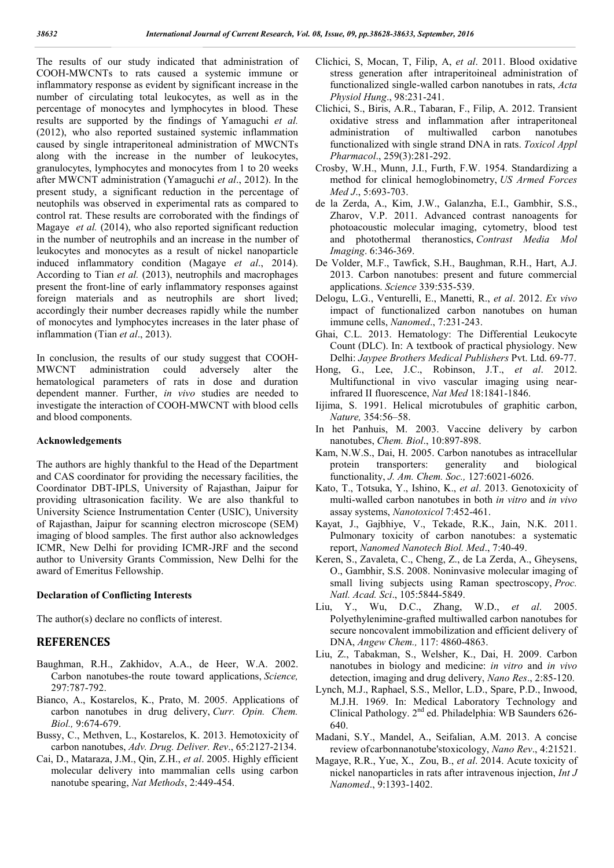The results of our study indicated that administration of COOH-MWCNTs to rats caused a systemic immune or inflammatory response as evident by significant increase in the number of circulating total leukocytes, as well as in the percentage of monocytes and lymphocytes in blood. These results are supported by the findings of Yamaguchi *et al.* (2012), who also reported sustained systemic inflammation caused by single intraperitoneal administration of MWCNTs along with the increase in the number of leukocytes, granulocytes, lymphocytes and monocytes from 1 to 20 weeks after MWCNT administration (Yamaguchi *et al*., 2012). In the present study, a significant reduction in the percentage of neutophils was observed in experimental rats as compared to control rat. These results are corroborated with the findings of Magaye *et al.* (2014), who also reported significant reduction in the number of neutrophils and an increase in the number of leukocytes and monocytes as a result of nickel nanoparticle induced inflammatory condition (Magaye *et al*., 2014). According to Tian *et al.* (2013), neutrophils and macrophages present the front-line of early inflammatory responses against foreign materials and as neutrophils are short lived; accordingly their number decreases rapidly while the number of monocytes and lymphocytes increases in the later phase of inflammation (Tian *et al*., 2013).

In conclusion, the results of our study suggest that COOH-MWCNT administration could adversely alter the hematological parameters of rats in dose and duration dependent manner. Further, *in vivo* studies are needed to investigate the interaction of COOH-MWCNT with blood cells and blood components.

### Acknowledgements

The authors are highly thankful to the Head of the Department and CAS coordinator for providing the necessary facilities, the Coordinator DBT-IPLS, University of Rajasthan, Jaipur for providing ultrasonication facility. We are also thankful to University Science Instrumentation Center (USIC), University of Rajasthan, Jaipur for scanning electron microscope (SEM) imaging of blood samples. The first author also acknowledges ICMR, New Delhi for providing ICMR-JRF and the second author to University Grants Commission, New Delhi for the award of Emeritus Fellowship.

### Declaration of Conflicting Interests

The author(s) declare no conflicts of interest.

## REFERENCES

- Baughman, R.H., Zakhidov, A.A., de Heer, W.A. 2002. Carbon nanotubes-the route toward applications, *Science,* 297:787-792.
- Bianco, A., Kostarelos, K., Prato, M. 2005. Applications of carbon nanotubes in drug delivery, *Curr. Opin. Chem. Biol.,* 9:674-679.
- Bussy, C., Methven, L., Kostarelos, K. 2013. Hemotoxicity of carbon nanotubes, *Adv. Drug. Deliver. Rev*., 65:2127-2134.
- Cai, D., Mataraza, J.M., Qin, Z.H., *et al*. 2005. Highly efficient molecular delivery into mammalian cells using carbon nanotube spearing, *Nat Methods*, 2:449-454.
- Clichici, S, Mocan, T, Filip, A, *et al*. 2011. Blood oxidative stress generation after intraperitoineal administration of functionalized single-walled carbon nanotubes in rats, *Acta Physiol Hung*., 98:231-241.
- Clichici, S., Biris, A.R., Tabaran, F., Filip, A. 2012. Transient oxidative stress and inflammation after intraperitoneal administration of multiwalled carbon nanotubes functionalized with single strand DNA in rats. *Toxicol Appl Pharmacol*., 259(3):281-292.
- Crosby, W.H., Munn, J.I., Furth, F.W. 1954. Standardizing a method for clinical hemoglobinometry, *US Armed Forces Med J*., 5:693-703.
- de la Zerda, A., Kim, J.W., Galanzha, E.I., Gambhir, S.S., Zharov, V.P. 2011. Advanced contrast nanoagents for photoacoustic molecular imaging, cytometry, blood test and photothermal theranostics, *Contrast Media Mol Imaging*. 6:346-369.
- De Volder, M.F., Tawfick, S.H., Baughman, R.H., Hart, A.J. 2013. Carbon nanotubes: present and future commercial applications. *Science* 339:535-539.
- Delogu, L.G., Venturelli, E., Manetti, R., *et al*. 2012. *Ex vivo* impact of functionalized carbon nanotubes on human immune cells, *Nanomed*., 7:231-243.
- Ghai, C.L. 2013. Hematology: The Differential Leukocyte Count (DLC). In: A textbook of practical physiology. New Delhi: *Jaypee Brothers Medical Publishers* Pvt. Ltd. 69-77.
- Hong, G., Lee, J.C., Robinson, J.T., *et al*. 2012. Multifunctional in vivo vascular imaging using nearinfrared II fluorescence, *Nat Med* 18:1841-1846.
- Iijima, S. 1991. Helical microtubules of graphitic carbon, *Nature,* 354:56–58.
- In het Panhuis, M. 2003. Vaccine delivery by carbon nanotubes, *Chem. Biol*., 10:897-898.
- Kam, N.W.S., Dai, H. 2005. Carbon nanotubes as intracellular protein transporters: generality and biological functionality, *J. Am. Chem. Soc.,* 127:6021-6026.
- Kato, T., Totsuka, Y., Ishino, K., *et al*. 2013. Genotoxicity of multi-walled carbon nanotubes in both *in vitro* and *in vivo* assay systems, *Nanotoxicol* 7:452-461.
- Kayat, J., Gajbhiye, V., Tekade, R.K., Jain, N.K. 2011. Pulmonary toxicity of carbon nanotubes: a systematic report, *Nanomed Nanotech Biol. Med*., 7:40-49.
- Keren, S., Zavaleta, C., Cheng, Z., de La Zerda, A., Gheysens, O., Gambhir, S.S. 2008. Noninvasive molecular imaging of small living subjects using Raman spectroscopy, *Proc. Natl. Acad. Sci*., 105:5844-5849.
- Liu, Y., Wu, D.C., Zhang, W.D., *et al*. 2005. Polyethylenimine-grafted multiwalled carbon nanotubes for secure noncovalent immobilization and efficient delivery of DNA, *Angew Chem.,* 117: 4860-4863.
- Liu, Z., Tabakman, S., Welsher, K., Dai, H. 2009. Carbon nanotubes in biology and medicine: *in vitro* and *in vivo* detection, imaging and drug delivery, *Nano Res*., 2:85-120.
- Lynch, M.J., Raphael, S.S., Mellor, L.D., Spare, P.D., Inwood, M.J.H. 1969. In: Medical Laboratory Technology and Clinical Pathology. 2nd ed. Philadelphia: WB Saunders 626- 640.
- Madani, S.Y., Mandel, A., Seifalian, A.M. 2013. A concise review ofcarbonnanotube'stoxicology, *Nano Rev*., 4:21521.
- Magaye, R.R., Yue, X., Zou, B., *et al*. 2014. Acute toxicity of nickel nanoparticles in rats after intravenous injection, *Int J Nanomed*., 9:1393-1402.